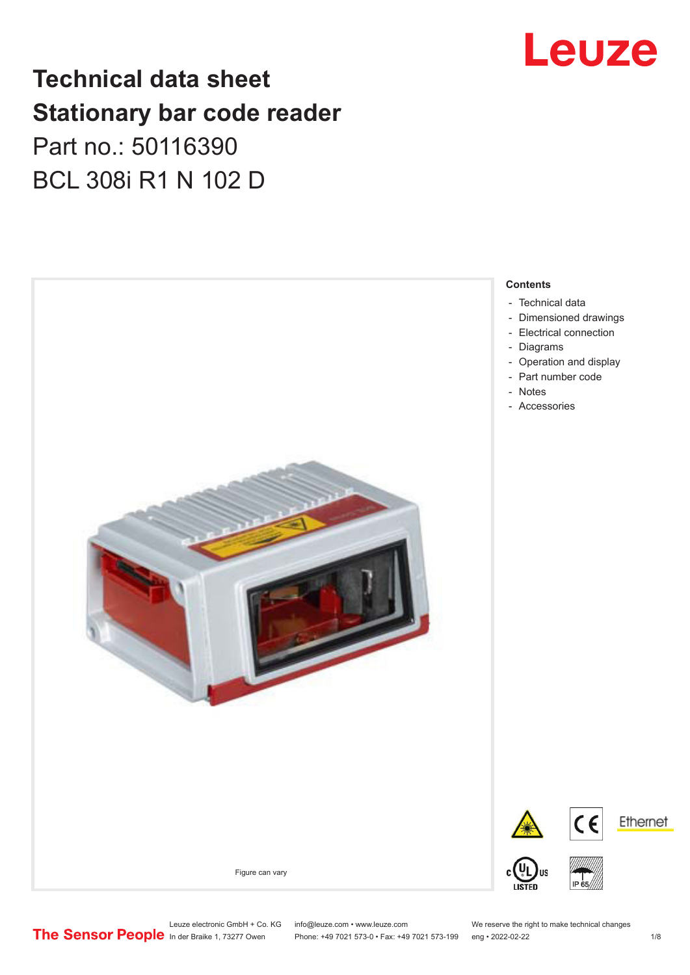# Leuze

## **Technical data sheet Stationary bar code reader** Part no.: 50116390 BCL 308i R1 N 102 D



Leuze electronic GmbH + Co. KG info@leuze.com • www.leuze.com We reserve the right to make technical changes<br>
The Sensor People in der Braike 1, 73277 Owen Phone: +49 7021 573-0 • Fax: +49 7021 573-199 eng • 2022-02-22 Phone: +49 7021 573-0 • Fax: +49 7021 573-199 eng • 2022-02-22 1 /8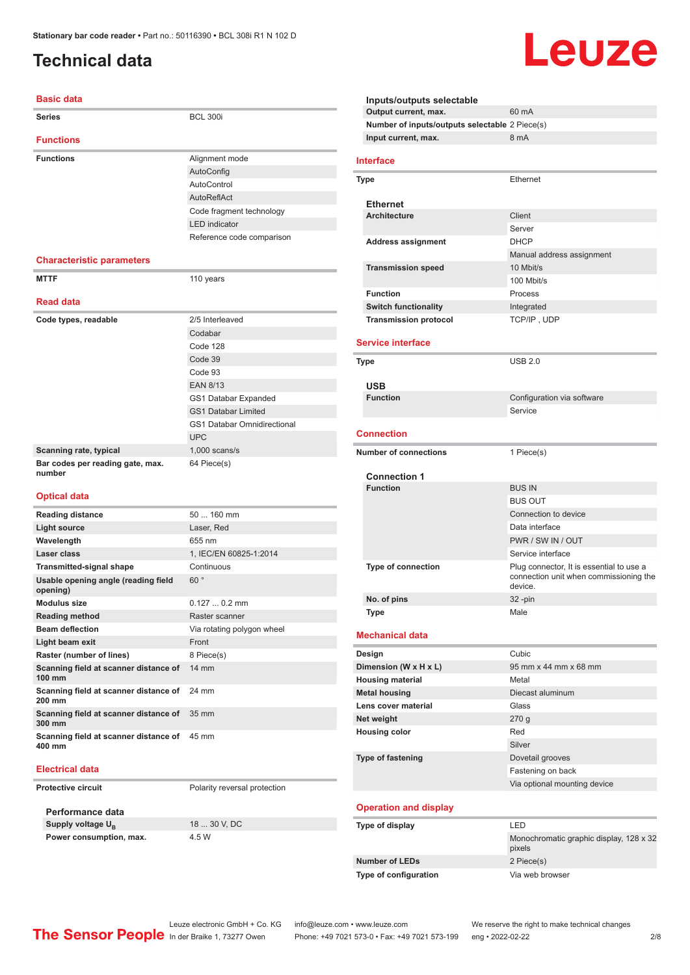### <span id="page-1-0"></span>**Technical data**

### **Basic data**

| <b>Series</b>                                   | <b>BCL 300i</b>                    |
|-------------------------------------------------|------------------------------------|
| <b>Functions</b>                                |                                    |
| <b>Functions</b>                                | Alignment mode                     |
|                                                 | AutoConfig                         |
|                                                 | AutoControl                        |
|                                                 | AutoReflAct                        |
|                                                 | Code fragment technology           |
|                                                 | <b>LED</b> indicator               |
|                                                 | Reference code comparison          |
|                                                 |                                    |
| <b>Characteristic parameters</b>                |                                    |
| <b>MTTF</b>                                     | 110 years                          |
| <b>Read data</b>                                |                                    |
| Code types, readable                            | 2/5 Interleaved                    |
|                                                 | Codabar                            |
|                                                 | Code 128                           |
|                                                 | Code 39                            |
|                                                 | Code 93                            |
|                                                 | <b>EAN 8/13</b>                    |
|                                                 | GS1 Databar Expanded               |
|                                                 | <b>GS1 Databar Limited</b>         |
|                                                 | <b>GS1 Databar Omnidirectional</b> |
|                                                 | <b>UPC</b>                         |
| Scanning rate, typical                          | $1,000$ scans/s                    |
| Bar codes per reading gate, max.<br>number      | 64 Piece(s)                        |
| <b>Optical data</b>                             |                                    |
| <b>Reading distance</b>                         | 50  160 mm                         |
| <b>Light source</b>                             | Laser, Red                         |
| Wavelength                                      | 655 nm                             |
| Laser class                                     | 1, IEC/EN 60825-1:2014             |
| <b>Transmitted-signal shape</b>                 | Continuous                         |
| Usable opening angle (reading field<br>opening) | 60°                                |
| <b>Modulus size</b>                             | $0.1270.2$ mm                      |
| <b>Reading method</b>                           | Raster scanner                     |
| <b>Beam deflection</b>                          | Via rotating polygon wheel         |
| Light beam exit                                 | Front                              |
| Raster (number of lines)                        | 8 Piece(s)                         |
| Scanning field at scanner distance of<br>100 mm | 14 mm                              |
| Scanning field at scanner distance of<br>200 mm | 24 mm                              |
| Scanning field at scanner distance of<br>300 mm | 35 mm                              |

### **Electrical data**

**400 mm**

**Protective circuit** Polarity reversal protection

**Performance data Supply voltage U<sub>B</sub> Power consumption, max.** 4.5 W

**Scanning field at scanner distance of**  45 mm

18 ... 30 V, DC

|                                                | Leuze     |
|------------------------------------------------|-----------|
| Inputs/outputs selectable                      |           |
| Output current, max.                           | 60 mA     |
| Number of inputs/outputs selectable 2 Piece(s) |           |
| Input current, max.                            | 8 mA      |
| terface                                        |           |
| 'pe                                            | Ethernet  |
| <b>Ethernet</b>                                |           |
| $A$ robitooturo                                | $C$ liont |

۰

| Type                              | <b>Ethernet</b>                                                                    |
|-----------------------------------|------------------------------------------------------------------------------------|
| <b>Ethernet</b>                   |                                                                                    |
| <b>Architecture</b>               | Client                                                                             |
|                                   | Server                                                                             |
| <b>Address assignment</b>         | <b>DHCP</b>                                                                        |
|                                   | Manual address assignment                                                          |
| <b>Transmission speed</b>         | 10 Mbit/s                                                                          |
|                                   | 100 Mbit/s                                                                         |
| <b>Function</b>                   | Process                                                                            |
| <b>Switch functionality</b>       | Integrated                                                                         |
| <b>Transmission protocol</b>      | TCP/IP, UDP                                                                        |
|                                   |                                                                                    |
| <b>Service interface</b>          |                                                                                    |
| Type                              | <b>USB 2.0</b>                                                                     |
|                                   |                                                                                    |
| <b>USB</b>                        |                                                                                    |
| <b>Function</b>                   | Configuration via software                                                         |
|                                   | Service                                                                            |
| <b>Connection</b>                 |                                                                                    |
| <b>Number of connections</b>      |                                                                                    |
|                                   | 1 Piece(s)                                                                         |
| <b>Connection 1</b>               |                                                                                    |
| <b>Function</b>                   | <b>BUS IN</b>                                                                      |
|                                   | <b>BUS OUT</b>                                                                     |
|                                   | Connection to device                                                               |
|                                   | Data interface                                                                     |
|                                   | PWR / SW IN / OUT                                                                  |
|                                   | Service interface                                                                  |
| Type of connection                | Plug connector, It is essential to use a<br>connection unit when commissioning the |
|                                   | device.                                                                            |
| No. of pins                       | 32-pin                                                                             |
| <b>Type</b>                       | Male                                                                               |
| <b>Mechanical data</b>            |                                                                                    |
|                                   |                                                                                    |
| Design                            | Cubic                                                                              |
| Dimension (W x H x L)             | 95 mm x 44 mm x 68 mm                                                              |
| <b>Housing material</b>           | Metal                                                                              |
| <b>Metal housing</b>              | Diecast aluminum                                                                   |
| Lens cover material<br>Net weight | Glass                                                                              |
| <b>Housing color</b>              | 270 g<br>Red                                                                       |
|                                   | Silver                                                                             |
|                                   |                                                                                    |

### **Operation and display**

| Type of display       | I FD                                              |
|-----------------------|---------------------------------------------------|
|                       | Monochromatic graphic display, 128 x 32<br>pixels |
| Number of LEDs        | 2 Piece(s)                                        |
| Type of configuration | Via web browser                                   |

Leuze electronic GmbH + Co. KG info@leuze.com • www.leuze.com We reserve the right to make technical changes<br>
The Sensor People in der Braike 1, 73277 Owen Phone: +49 7021 573-0 • Fax: +49 7021 573-199 eng • 2022-02-22 Phone: +49 7021 573-0 • Fax: +49 7021 573-199 eng • 2022-02-22 2 2/8

Fastening on back Via optional mounting device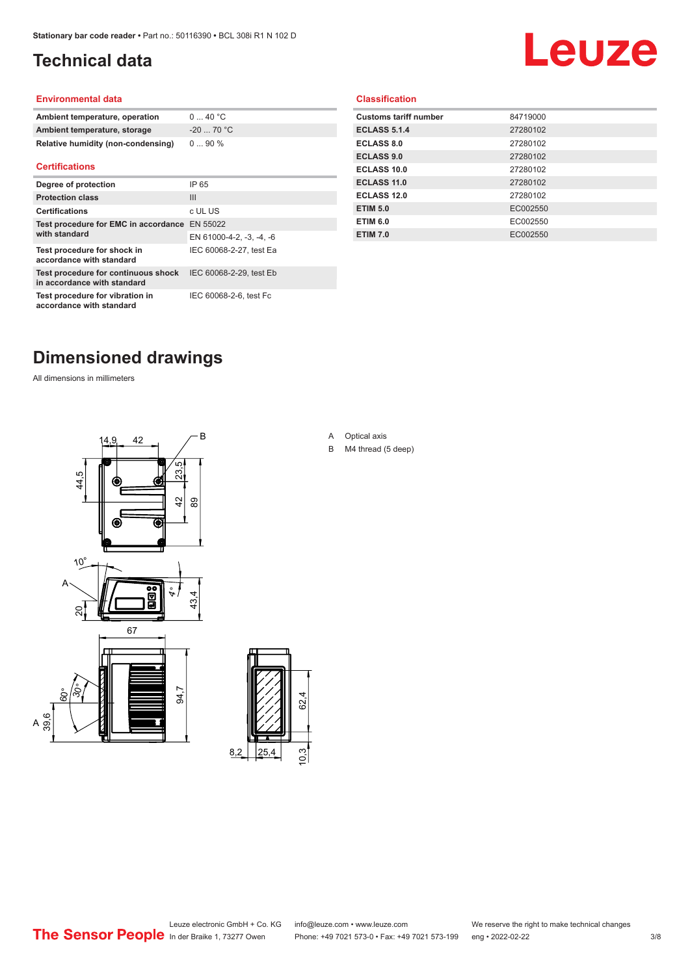## <span id="page-2-0"></span>**Technical data**

# Leuze

### **Environmental data**

| Ambient temperature, operation     | 040 °C     |
|------------------------------------|------------|
| Ambient temperature, storage       | $-2070 °C$ |
| Relative humidity (non-condensing) | $090\%$    |

#### **Certifications**

| Degree of protection                                               | IP 65                    |
|--------------------------------------------------------------------|--------------------------|
| <b>Protection class</b>                                            | $\mathbf{III}$           |
| <b>Certifications</b>                                              | c UL US                  |
| Test procedure for EMC in accordance EN 55022<br>with standard     |                          |
|                                                                    | EN 61000-4-2, -3, -4, -6 |
| Test procedure for shock in<br>accordance with standard            | IEC 60068-2-27, test Ea  |
| Test procedure for continuous shock<br>in accordance with standard | IEC 60068-2-29, test Eb  |
| Test procedure for vibration in<br>accordance with standard        | IEC 60068-2-6, test Fc   |

### **Classification**

| <b>Customs tariff number</b> | 84719000 |
|------------------------------|----------|
| <b>ECLASS 5.1.4</b>          | 27280102 |
| <b>ECLASS 8.0</b>            | 27280102 |
| <b>ECLASS 9.0</b>            | 27280102 |
| ECLASS 10.0                  | 27280102 |
| <b>ECLASS 11.0</b>           | 27280102 |
| ECLASS 12.0                  | 27280102 |
| <b>ETIM 5.0</b>              | EC002550 |
| <b>ETIM 6.0</b>              | EC002550 |
| <b>ETIM 7.0</b>              | EC002550 |
|                              |          |

## **Dimensioned drawings**

All dimensions in millimeters





A Optical axis

B M4 thread (5 deep)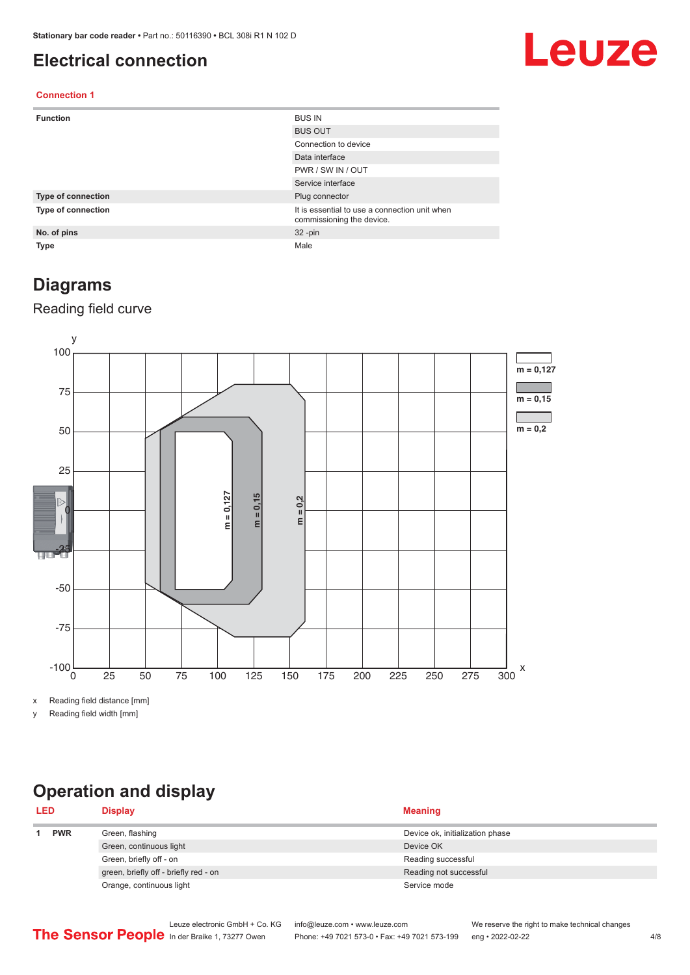### <span id="page-3-0"></span>**Electrical connection**

# Leuze

### **Connection 1**

| <b>Function</b>    | <b>BUS IN</b>                                                              |
|--------------------|----------------------------------------------------------------------------|
|                    | <b>BUS OUT</b>                                                             |
|                    | Connection to device                                                       |
|                    | Data interface                                                             |
|                    | PWR / SW IN / OUT                                                          |
|                    | Service interface                                                          |
| Type of connection | Plug connector                                                             |
| Type of connection | It is essential to use a connection unit when<br>commissioning the device. |
| No. of pins        | $32 - pin$                                                                 |
| Type               | Male                                                                       |

### **Diagrams**

### Reading field curve



x Reading field distance [mm]

y Reading field width [mm]

## **Operation and display**

| <b>LED</b> |            | <b>Display</b>                        | <b>Meaning</b>                  |
|------------|------------|---------------------------------------|---------------------------------|
|            | <b>PWR</b> | Green, flashing                       | Device ok, initialization phase |
|            |            | Green, continuous light               | Device OK                       |
|            |            | Green, briefly off - on               | Reading successful              |
|            |            | green, briefly off - briefly red - on | Reading not successful          |
|            |            | Orange, continuous light              | Service mode                    |
|            |            |                                       |                                 |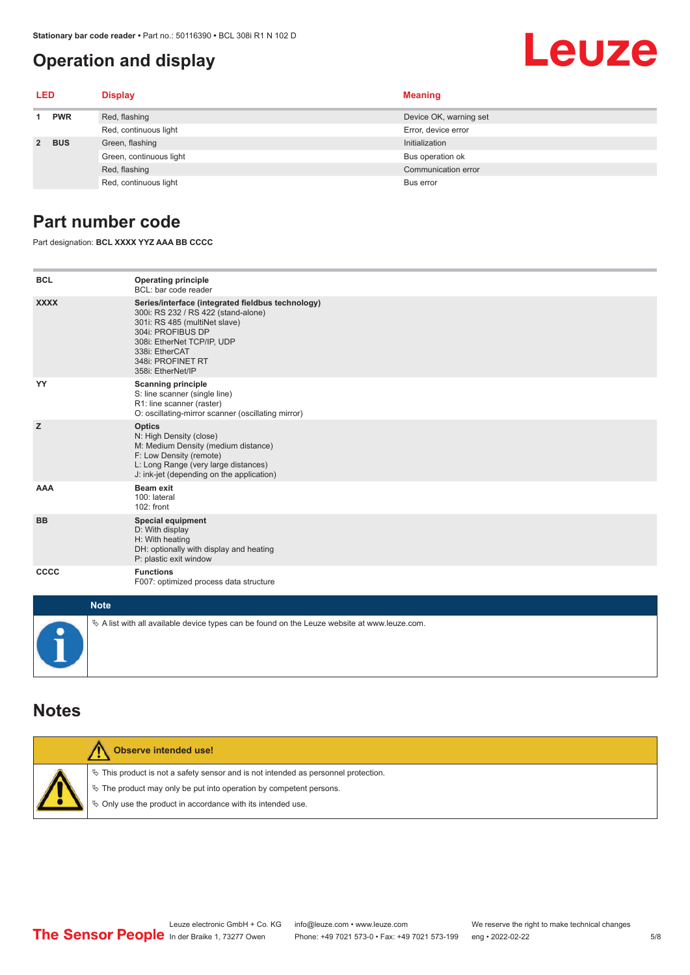### <span id="page-4-0"></span>**Operation and display**

# Leuze

| LED         |            | <b>Display</b>          | <b>Meaning</b>         |
|-------------|------------|-------------------------|------------------------|
|             | <b>PWR</b> | Red, flashing           | Device OK, warning set |
|             |            | Red, continuous light   | Error, device error    |
| $2^{\circ}$ | <b>BUS</b> | Green, flashing         | Initialization         |
|             |            | Green, continuous light | Bus operation ok       |
|             |            | Red, flashing           | Communication error    |
|             |            | Red, continuous light   | Bus error              |

### **Part number code**

Part designation: **BCL XXXX YYZ AAA BB CCCC**

| <b>BCL</b>  | <b>Operating principle</b><br>BCL: bar code reader                                                                                                                                                                                       |
|-------------|------------------------------------------------------------------------------------------------------------------------------------------------------------------------------------------------------------------------------------------|
| <b>XXXX</b> | Series/interface (integrated fieldbus technology)<br>300i: RS 232 / RS 422 (stand-alone)<br>301i: RS 485 (multiNet slave)<br>304i: PROFIBUS DP<br>308i: EtherNet TCP/IP, UDP<br>338i: EtherCAT<br>348i: PROFINET RT<br>358i: EtherNet/IP |
| YY          | <b>Scanning principle</b><br>S: line scanner (single line)<br>R1: line scanner (raster)<br>O: oscillating-mirror scanner (oscillating mirror)                                                                                            |
| z           | <b>Optics</b><br>N: High Density (close)<br>M: Medium Density (medium distance)<br>F: Low Density (remote)<br>L: Long Range (very large distances)<br>J: ink-jet (depending on the application)                                          |
| <b>AAA</b>  | <b>Beam exit</b><br>100: lateral<br>$102:$ front                                                                                                                                                                                         |
| <b>BB</b>   | <b>Special equipment</b><br>D: With display<br>H: With heating<br>DH: optionally with display and heating<br>P: plastic exit window                                                                                                      |
| <b>CCCC</b> | <b>Functions</b><br>F007: optimized process data structure                                                                                                                                                                               |
| $1.1 - 4.1$ |                                                                                                                                                                                                                                          |

| <b>Note</b>                                                                                       |
|---------------------------------------------------------------------------------------------------|
| Vector A list with all available device types can be found on the Leuze website at www.leuze.com. |

### **Notes**

| Observe intended use!                                                                                                                                                                                                      |  |  |  |  |  |
|----------------------------------------------------------------------------------------------------------------------------------------------------------------------------------------------------------------------------|--|--|--|--|--|
| $\%$ This product is not a safety sensor and is not intended as personnel protection.<br>↓ The product may only be put into operation by competent persons.<br>♦ Only use the product in accordance with its intended use. |  |  |  |  |  |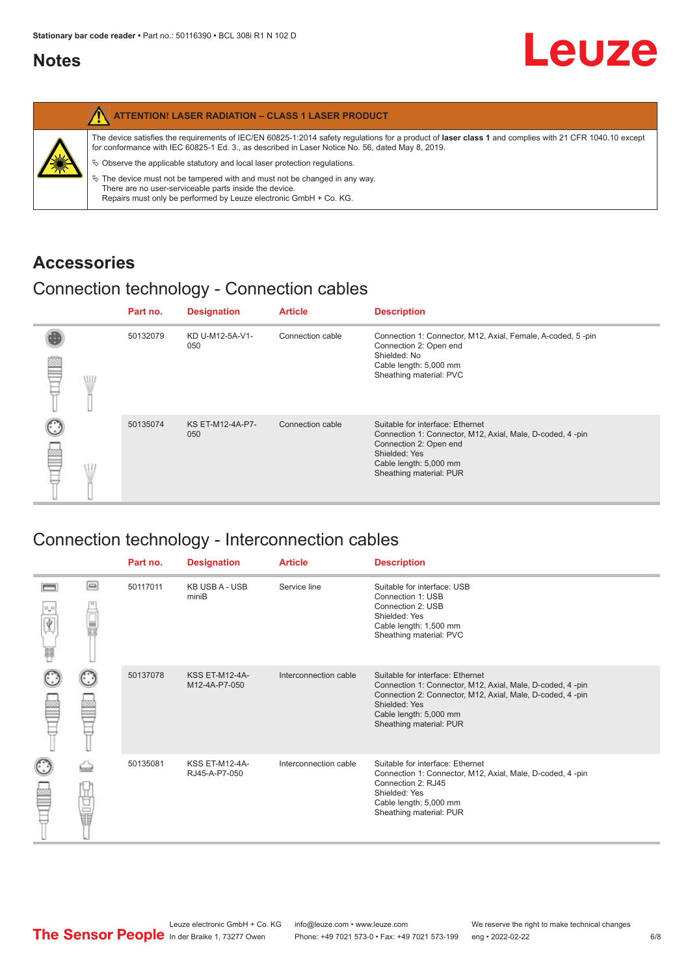### <span id="page-5-0"></span>**Notes**

|   | <b>ATTENTION! LASER RADIATION - CLASS 1 LASER PRODUCT</b>                                                                                                                                                                                                  |
|---|------------------------------------------------------------------------------------------------------------------------------------------------------------------------------------------------------------------------------------------------------------|
| 纂 | The device satisfies the requirements of IEC/EN 60825-1:2014 safety requlations for a product of laser class 1 and complies with 21 CFR 1040.10 except<br>for conformance with IEC 60825-1 Ed. 3., as described in Laser Notice No. 56, dated May 8, 2019. |
|   | $\&$ Observe the applicable statutory and local laser protection regulations.                                                                                                                                                                              |
|   | $\%$ The device must not be tampered with and must not be changed in any way.<br>There are no user-serviceable parts inside the device.<br>Repairs must only be performed by Leuze electronic GmbH + Co. KG.                                               |

### **Accessories**

### Connection technology - Connection cables

|      | Part no. | <b>Designation</b>      | <b>Article</b>   | <b>Description</b>                                                                                                                                                                            |
|------|----------|-------------------------|------------------|-----------------------------------------------------------------------------------------------------------------------------------------------------------------------------------------------|
| \ll. | 50132079 | KD U-M12-5A-V1-<br>050  | Connection cable | Connection 1: Connector, M12, Axial, Female, A-coded, 5-pin<br>Connection 2: Open end<br>Shielded: No<br>Cable length: 5,000 mm<br>Sheathing material: PVC                                    |
|      | 50135074 | KS ET-M12-4A-P7-<br>050 | Connection cable | Suitable for interface: Ethernet<br>Connection 1: Connector, M12, Axial, Male, D-coded, 4-pin<br>Connection 2: Open end<br>Shielded: Yes<br>Cable length: 5,000 mm<br>Sheathing material: PUR |

### Connection technology - Interconnection cables

|                           |                                                                                                                                                                                                                                | Part no. | <b>Designation</b>                     | <b>Article</b>        | <b>Description</b>                                                                                                                                                                                                               |
|---------------------------|--------------------------------------------------------------------------------------------------------------------------------------------------------------------------------------------------------------------------------|----------|----------------------------------------|-----------------------|----------------------------------------------------------------------------------------------------------------------------------------------------------------------------------------------------------------------------------|
| $\frac{1}{\sqrt{2}}$<br>Ħ | $\Box$                                                                                                                                                                                                                         | 50117011 | <b>KB USB A - USB</b><br>miniB         | Service line          | Suitable for interface: USB<br>Connection 1: USB<br>Connection 2: USB<br>Shielded: Yes<br>Cable length: 1,500 mm<br>Sheathing material: PVC                                                                                      |
|                           |                                                                                                                                                                                                                                | 50137078 | <b>KSS ET-M12-4A-</b><br>M12-4A-P7-050 | Interconnection cable | Suitable for interface: Ethernet<br>Connection 1: Connector, M12, Axial, Male, D-coded, 4-pin<br>Connection 2: Connector, M12, Axial, Male, D-coded, 4-pin<br>Shielded: Yes<br>Cable length: 5,000 mm<br>Sheathing material: PUR |
|                           | the filled the control in the control in the control in the control in the control in the control in the control in the control in the control in the control in the control in the control in the control in the control in t | 50135081 | <b>KSS ET-M12-4A-</b><br>RJ45-A-P7-050 | Interconnection cable | Suitable for interface: Ethernet<br>Connection 1: Connector, M12, Axial, Male, D-coded, 4-pin<br>Connection 2: RJ45<br>Shielded: Yes<br>Cable length: 5,000 mm<br>Sheathing material: PUR                                        |

Leuze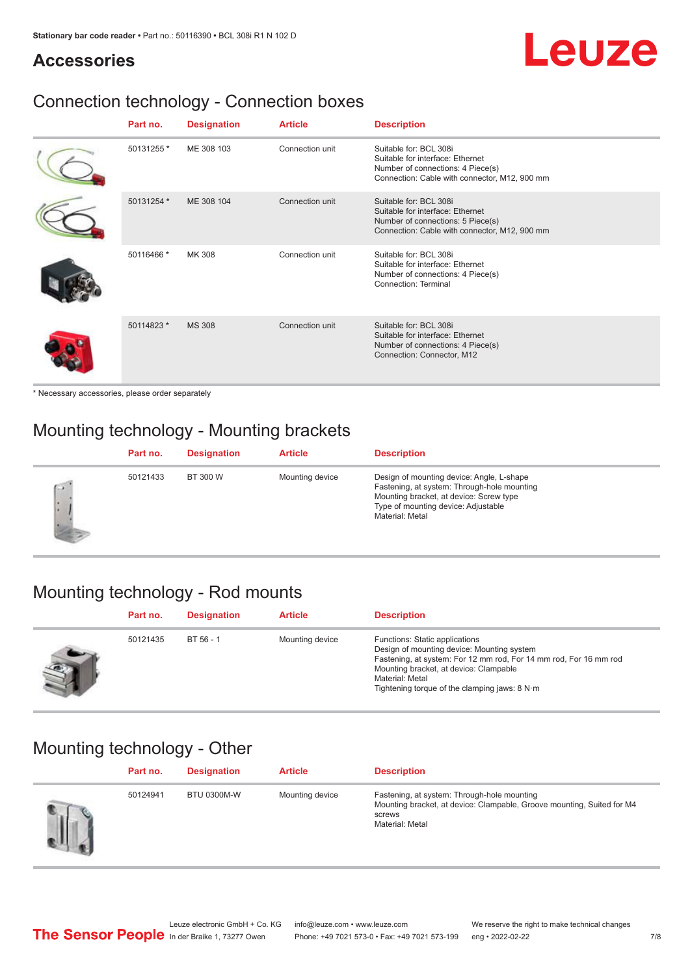# Leuze

### **Accessories**

## Connection technology - Connection boxes

| Part no.   | <b>Designation</b> | <b>Article</b>  | <b>Description</b>                                                                                                                               |
|------------|--------------------|-----------------|--------------------------------------------------------------------------------------------------------------------------------------------------|
| 50131255 * | ME 308 103         | Connection unit | Suitable for: BCL 308i<br>Suitable for interface: Ethernet<br>Number of connections: 4 Piece(s)<br>Connection: Cable with connector, M12, 900 mm |
| 50131254 * | ME 308 104         | Connection unit | Suitable for: BCL 308i<br>Suitable for interface: Ethernet<br>Number of connections: 5 Piece(s)<br>Connection: Cable with connector, M12, 900 mm |
| 50116466 * | MK 308             | Connection unit | Suitable for: BCL 308i<br>Suitable for interface: Ethernet<br>Number of connections: 4 Piece(s)<br>Connection: Terminal                          |
| 50114823 * | <b>MS 308</b>      | Connection unit | Suitable for: BCL 308i<br>Suitable for interface: Ethernet<br>Number of connections: 4 Piece(s)<br>Connection: Connector, M12                    |

\* Necessary accessories, please order separately

## Mounting technology - Mounting brackets

|        | Part no. | <b>Designation</b> | <b>Article</b>  | <b>Description</b>                                                                                                                                                                            |
|--------|----------|--------------------|-----------------|-----------------------------------------------------------------------------------------------------------------------------------------------------------------------------------------------|
| $\sim$ | 50121433 | BT 300 W           | Mounting device | Design of mounting device: Angle, L-shape<br>Fastening, at system: Through-hole mounting<br>Mounting bracket, at device: Screw type<br>Type of mounting device: Adjustable<br>Material: Metal |

### Mounting technology - Rod mounts

| Part no. | <b>Designation</b> | <b>Article</b>  | <b>Description</b>                                                                                                                                                                                                                                                |
|----------|--------------------|-----------------|-------------------------------------------------------------------------------------------------------------------------------------------------------------------------------------------------------------------------------------------------------------------|
| 50121435 | $BT 56 - 1$        | Mounting device | Functions: Static applications<br>Design of mounting device: Mounting system<br>Fastening, at system: For 12 mm rod, For 14 mm rod, For 16 mm rod<br>Mounting bracket, at device: Clampable<br>Material: Metal<br>Tightening torque of the clamping jaws: $8 N·m$ |

### Mounting technology - Other

| Part no. | <b>Designation</b> | <b>Article</b>  | <b>Description</b>                                                                                                                                 |
|----------|--------------------|-----------------|----------------------------------------------------------------------------------------------------------------------------------------------------|
| 50124941 | <b>BTU 0300M-W</b> | Mounting device | Fastening, at system: Through-hole mounting<br>Mounting bracket, at device: Clampable, Groove mounting, Suited for M4<br>screws<br>Material: Metal |